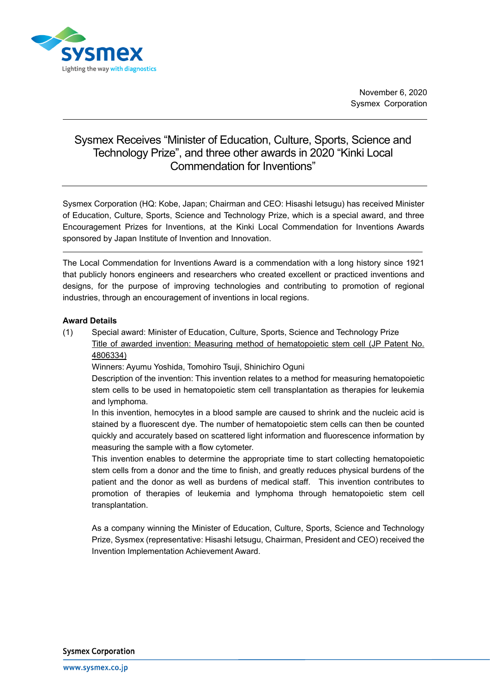

## Sysmex Receives "Minister of Education, Culture, Sports, Science and Technology Prize", and three other awards in 2020 "Kinki Local Commendation for Inventions"

Sysmex Corporation (HQ: Kobe, Japan; Chairman and CEO: Hisashi Ietsugu) has received Minister of Education, Culture, Sports, Science and Technology Prize, which is a special award, and three Encouragement Prizes for Inventions, at the Kinki Local Commendation for Inventions Awards sponsored by Japan Institute of Invention and Innovation.

The Local Commendation for Inventions Award is a commendation with a long history since 1921 that publicly honors engineers and researchers who created excellent or practiced inventions and designs, for the purpose of improving technologies and contributing to promotion of regional industries, through an encouragement of inventions in local regions.

## **Award Details**

(1) Special award: Minister of Education, Culture, Sports, Science and Technology Prize Title of awarded invention: Measuring method of hematopoietic stem cell (JP Patent No. 4806334)

Winners: Ayumu Yoshida, Tomohiro Tsuji, Shinichiro Oguni

Description of the invention: This invention relates to a method for measuring hematopoietic stem cells to be used in hematopoietic stem cell transplantation as therapies for leukemia and lymphoma.

In this invention, hemocytes in a blood sample are caused to shrink and the nucleic acid is stained by a fluorescent dye. The number of hematopoietic stem cells can then be counted quickly and accurately based on scattered light information and fluorescence information by measuring the sample with a flow cytometer.

This invention enables to determine the appropriate time to start collecting hematopoietic stem cells from a donor and the time to finish, and greatly reduces physical burdens of the patient and the donor as well as burdens of medical staff. This invention contributes to promotion of therapies of leukemia and lymphoma through hematopoietic stem cell transplantation.

As a company winning the Minister of Education, Culture, Sports, Science and Technology Prize, Sysmex (representative: Hisashi Ietsugu, Chairman, President and CEO) received the Invention Implementation Achievement Award.